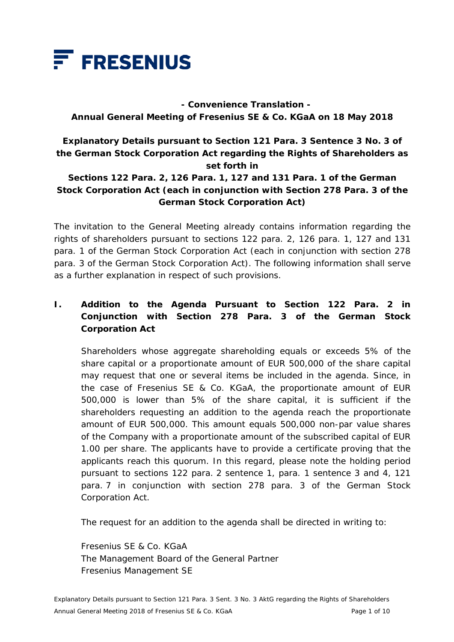

# **- Convenience Translation - Annual General Meeting of Fresenius SE & Co. KGaA on 18 May 2018**

# **Explanatory Details pursuant to Section 121 Para. 3 Sentence 3 No. 3 of the German Stock Corporation Act regarding the Rights of Shareholders as set forth in**

# **Sections 122 Para. 2, 126 Para. 1, 127 and 131 Para. 1 of the German Stock Corporation Act (each in conjunction with Section 278 Para. 3 of the German Stock Corporation Act)**

The invitation to the General Meeting already contains information regarding the rights of shareholders pursuant to sections 122 para. 2, 126 para. 1, 127 and 131 para. 1 of the German Stock Corporation Act (each in conjunction with section 278 para. 3 of the German Stock Corporation Act). The following information shall serve as a further explanation in respect of such provisions.

# **I. Addition to the Agenda Pursuant to Section 122 Para. 2 in Conjunction with Section 278 Para. 3 of the German Stock Corporation Act**

Shareholders whose aggregate shareholding equals or exceeds 5% of the share capital or a proportionate amount of EUR 500,000 of the share capital may request that one or several items be included in the agenda. Since, in the case of Fresenius SE & Co. KGaA, the proportionate amount of EUR 500,000 is lower than 5% of the share capital, it is sufficient if the shareholders requesting an addition to the agenda reach the proportionate amount of EUR 500,000. This amount equals 500,000 non-par value shares of the Company with a proportionate amount of the subscribed capital of EUR 1.00 per share. The applicants have to provide a certificate proving that the applicants reach this quorum. In this regard, please note the holding period pursuant to sections 122 para. 2 sentence 1, para. 1 sentence 3 and 4, 121 para. 7 in conjunction with section 278 para. 3 of the German Stock Corporation Act.

The request for an addition to the agenda shall be directed in writing to:

Fresenius SE & Co. KGaA The Management Board of the General Partner Fresenius Management SE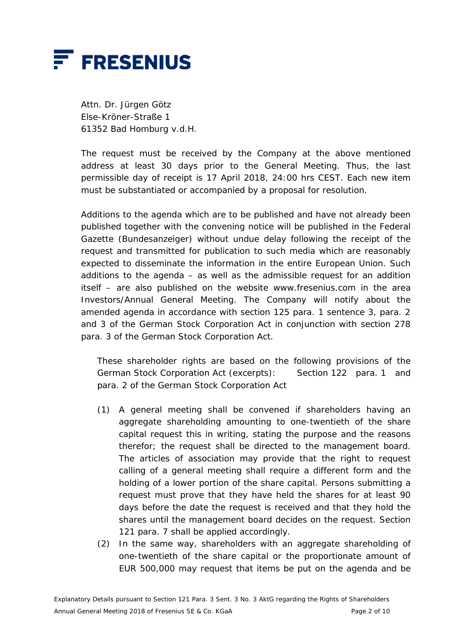

Attn. Dr. Jürgen Götz Else-Kröner-Straße 1 61352 Bad Homburg v.d.H.

The request must be received by the Company at the above mentioned address at least 30 days prior to the General Meeting. Thus, the last permissible day of receipt is 17 April 2018, 24:00 hrs CEST. Each new item must be substantiated or accompanied by a proposal for resolution.

Additions to the agenda which are to be published and have not already been published together with the convening notice will be published in the Federal Gazette (*Bundesanzeiger*) without undue delay following the receipt of the request and transmitted for publication to such media which are reasonably expected to disseminate the information in the entire European Union. Such additions to the agenda – as well as the admissible request for an addition itself – are also published on the website www.fresenius.com in the area Investors/Annual General Meeting. The Company will notify about the amended agenda in accordance with section 125 para. 1 sentence 3, para. 2 and 3 of the German Stock Corporation Act in conjunction with section 278 para. 3 of the German Stock Corporation Act.

These shareholder rights are based on the following provisions of the German Stock Corporation Act (excerpts): Section 122 para. 1 and para. 2 of the German Stock Corporation Act

- (1) A general meeting shall be convened if shareholders having an aggregate shareholding amounting to one-twentieth of the share capital request this in writing, stating the purpose and the reasons therefor; the request shall be directed to the management board. The articles of association may provide that the right to request calling of a general meeting shall require a different form and the holding of a lower portion of the share capital. Persons submitting a request must prove that they have held the shares for at least 90 days before the date the request is received and that they hold the shares until the management board decides on the request. Section 121 para. 7 shall be applied accordingly.
- (2) In the same way, shareholders with an aggregate shareholding of one-twentieth of the share capital or the proportionate amount of EUR 500,000 may request that items be put on the agenda and be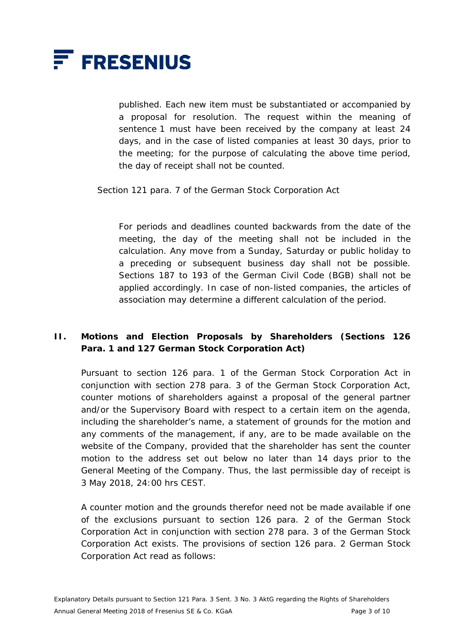

published. Each new item must be substantiated or accompanied by a proposal for resolution. The request within the meaning of sentence 1 must have been received by the company at least 24 days, and in the case of listed companies at least 30 days, prior to the meeting; for the purpose of calculating the above time period, the day of receipt shall not be counted.

Section 121 para. 7 of the German Stock Corporation Act

For periods and deadlines counted backwards from the date of the meeting, the day of the meeting shall not be included in the calculation. Any move from a Sunday, Saturday or public holiday to a preceding or subsequent business day shall not be possible. Sections 187 to 193 of the German Civil Code (BGB) shall not be applied accordingly. In case of non-listed companies, the articles of association may determine a different calculation of the period.

#### **II. Motions and Election Proposals by Shareholders (Sections 126 Para. 1 and 127 German Stock Corporation Act)**

Pursuant to section 126 para. 1 of the German Stock Corporation Act in conjunction with section 278 para. 3 of the German Stock Corporation Act, counter motions of shareholders against a proposal of the general partner and/or the Supervisory Board with respect to a certain item on the agenda, including the shareholder's name, a statement of grounds for the motion and any comments of the management, if any, are to be made available on the website of the Company, provided that the shareholder has sent the counter motion to the address set out below no later than 14 days prior to the General Meeting of the Company. Thus, the last permissible day of receipt is 3 May 2018, 24:00 hrs CEST.

A counter motion and the grounds therefor need not be made available if one of the exclusions pursuant to section 126 para. 2 of the German Stock Corporation Act in conjunction with section 278 para. 3 of the German Stock Corporation Act exists. The provisions of section 126 para. 2 German Stock Corporation Act read as follows: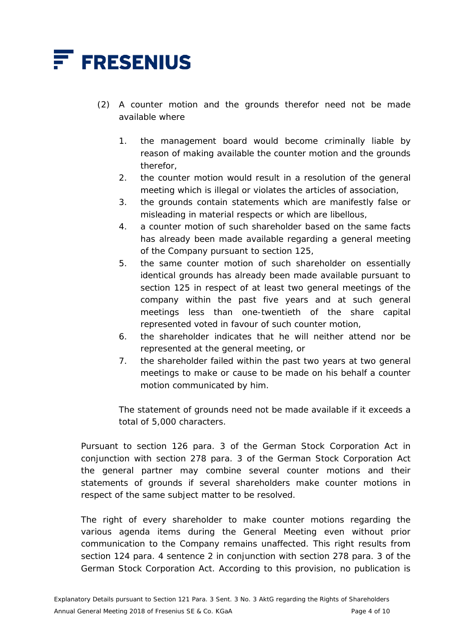

- (2) A counter motion and the grounds therefor need not be made available where
	- 1. the management board would become criminally liable by reason of making available the counter motion and the grounds therefor,
	- 2. the counter motion would result in a resolution of the general meeting which is illegal or violates the articles of association,
	- 3. the grounds contain statements which are manifestly false or misleading in material respects or which are libellous,
	- 4. a counter motion of such shareholder based on the same facts has already been made available regarding a general meeting of the Company pursuant to section 125,
	- 5. the same counter motion of such shareholder on essentially identical grounds has already been made available pursuant to section 125 in respect of at least two general meetings of the company within the past five years and at such general meetings less than one-twentieth of the share capital represented voted in favour of such counter motion,
	- 6. the shareholder indicates that he will neither attend nor be represented at the general meeting, or
	- 7. the shareholder failed within the past two years at two general meetings to make or cause to be made on his behalf a counter motion communicated by him.

The statement of grounds need not be made available if it exceeds a total of 5,000 characters.

Pursuant to section 126 para. 3 of the German Stock Corporation Act in conjunction with section 278 para. 3 of the German Stock Corporation Act the general partner may combine several counter motions and their statements of grounds if several shareholders make counter motions in respect of the same subject matter to be resolved.

The right of every shareholder to make counter motions regarding the various agenda items during the General Meeting even without prior communication to the Company remains unaffected. This right results from section 124 para. 4 sentence 2 in conjunction with section 278 para. 3 of the German Stock Corporation Act. According to this provision, no publication is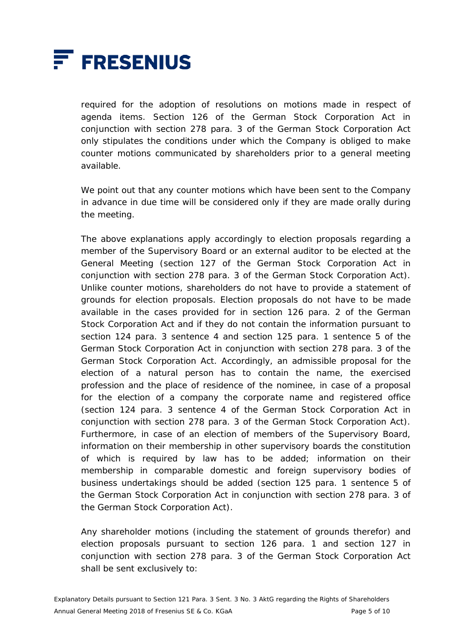

required for the adoption of resolutions on motions made in respect of agenda items. Section 126 of the German Stock Corporation Act in conjunction with section 278 para. 3 of the German Stock Corporation Act only stipulates the conditions under which the Company is obliged to make counter motions communicated by shareholders prior to a general meeting available.

We point out that any counter motions which have been sent to the Company in advance in due time will be considered only if they are made orally during the meeting.

The above explanations apply accordingly to election proposals regarding a member of the Supervisory Board or an external auditor to be elected at the General Meeting (section 127 of the German Stock Corporation Act in conjunction with section 278 para. 3 of the German Stock Corporation Act). Unlike counter motions, shareholders do not have to provide a statement of grounds for election proposals. Election proposals do not have to be made available in the cases provided for in section 126 para. 2 of the German Stock Corporation Act and if they do not contain the information pursuant to section 124 para. 3 sentence 4 and section 125 para. 1 sentence 5 of the German Stock Corporation Act in conjunction with section 278 para. 3 of the German Stock Corporation Act. Accordingly, an admissible proposal for the election of a natural person has to contain the name, the exercised profession and the place of residence of the nominee, in case of a proposal for the election of a company the corporate name and registered office (section 124 para. 3 sentence 4 of the German Stock Corporation Act in conjunction with section 278 para. 3 of the German Stock Corporation Act). Furthermore, in case of an election of members of the Supervisory Board, information on their membership in other supervisory boards the constitution of which is required by law has to be added; information on their membership in comparable domestic and foreign supervisory bodies of business undertakings should be added (section 125 para. 1 sentence 5 of the German Stock Corporation Act in conjunction with section 278 para. 3 of the German Stock Corporation Act).

Any shareholder motions (including the statement of grounds therefor) and election proposals pursuant to section 126 para. 1 and section 127 in conjunction with section 278 para. 3 of the German Stock Corporation Act shall be sent exclusively to: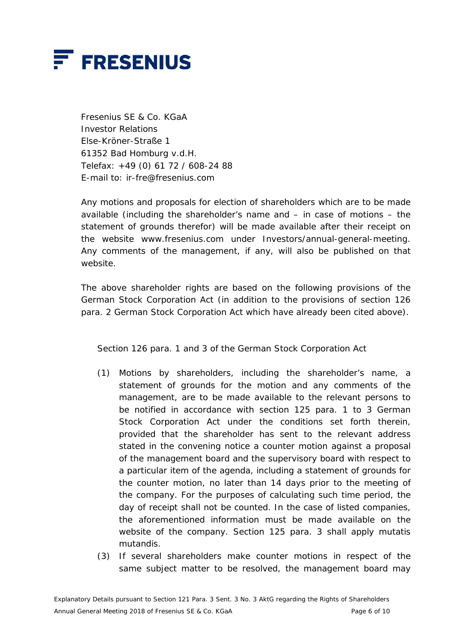

Fresenius SE & Co. KGaA Investor Relations Else-Kröner-Straße 1 61352 Bad Homburg v.d.H. Telefax: +49 (0) 61 72 / 608-24 88 E-mail to: ir-fre@fresenius.com

Any motions and proposals for election of shareholders which are to be made available (including the shareholder's name and – in case of motions – the statement of grounds therefor) will be made available after their receipt on the website www.fresenius.com under Investors/annual-general-meeting. Any comments of the management, if any, will also be published on that website.

The above shareholder rights are based on the following provisions of the German Stock Corporation Act (in addition to the provisions of section 126 para. 2 German Stock Corporation Act which have already been cited above).

Section 126 para. 1 and 3 of the German Stock Corporation Act

- (1) Motions by shareholders, including the shareholder's name, a statement of grounds for the motion and any comments of the management, are to be made available to the relevant persons to be notified in accordance with section 125 para. 1 to 3 German Stock Corporation Act under the conditions set forth therein, provided that the shareholder has sent to the relevant address stated in the convening notice a counter motion against a proposal of the management board and the supervisory board with respect to a particular item of the agenda, including a statement of grounds for the counter motion, no later than 14 days prior to the meeting of the company. For the purposes of calculating such time period, the day of receipt shall not be counted. In the case of listed companies, the aforementioned information must be made available on the website of the company. Section 125 para. 3 shall apply mutatis mutandis.
- (3) If several shareholders make counter motions in respect of the same subject matter to be resolved, the management board may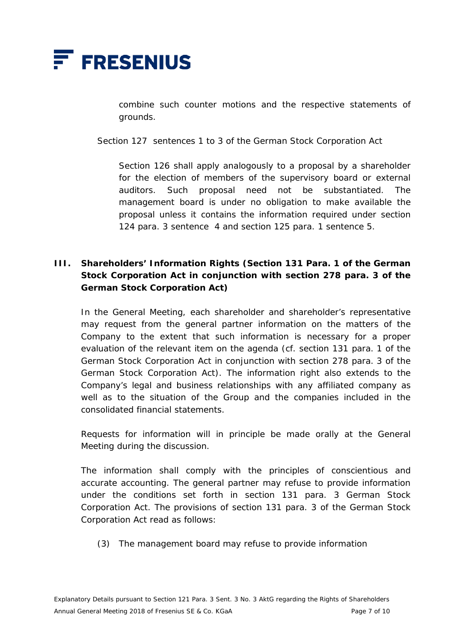

combine such counter motions and the respective statements of grounds.

Section 127 sentences 1 to 3 of the German Stock Corporation Act

Section 126 shall apply analogously to a proposal by a shareholder for the election of members of the supervisory board or external auditors. Such proposal need not be substantiated. The management board is under no obligation to make available the proposal unless it contains the information required under section 124 para. 3 sentence 4 and section 125 para. 1 sentence 5.

# **III. Shareholders' Information Rights (Section 131 Para. 1 of the German Stock Corporation Act in conjunction with section 278 para. 3 of the German Stock Corporation Act)**

In the General Meeting, each shareholder and shareholder's representative may request from the general partner information on the matters of the Company to the extent that such information is necessary for a proper evaluation of the relevant item on the agenda (cf. section 131 para. 1 of the German Stock Corporation Act in conjunction with section 278 para. 3 of the German Stock Corporation Act). The information right also extends to the Company's legal and business relationships with any affiliated company as well as to the situation of the Group and the companies included in the consolidated financial statements.

Requests for information will in principle be made orally at the General Meeting during the discussion.

The information shall comply with the principles of conscientious and accurate accounting. The general partner may refuse to provide information under the conditions set forth in section 131 para. 3 German Stock Corporation Act. The provisions of section 131 para. 3 of the German Stock Corporation Act read as follows:

(3) The management board may refuse to provide information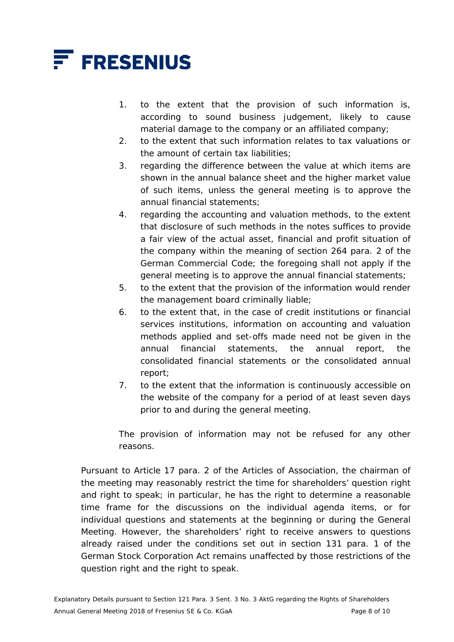

- 1. to the extent that the provision of such information is, according to sound business judgement, likely to cause material damage to the company or an affiliated company;
- 2. to the extent that such information relates to tax valuations or the amount of certain tax liabilities;
- 3. regarding the difference between the value at which items are shown in the annual balance sheet and the higher market value of such items, unless the general meeting is to approve the annual financial statements;
- 4. regarding the accounting and valuation methods, to the extent that disclosure of such methods in the notes suffices to provide a fair view of the actual asset, financial and profit situation of the company within the meaning of section 264 para. 2 of the German Commercial Code; the foregoing shall not apply if the general meeting is to approve the annual financial statements;
- 5. to the extent that the provision of the information would render the management board criminally liable;
- 6. to the extent that, in the case of credit institutions or financial services institutions, information on accounting and valuation methods applied and set-offs made need not be given in the annual financial statements, the annual report, the consolidated financial statements or the consolidated annual report;
- 7. to the extent that the information is continuously accessible on the website of the company for a period of at least seven days prior to and during the general meeting.

The provision of information may not be refused for any other reasons.

Pursuant to Article 17 para. 2 of the Articles of Association, the chairman of the meeting may reasonably restrict the time for shareholders' question right and right to speak; in particular, he has the right to determine a reasonable time frame for the discussions on the individual agenda items, or for individual questions and statements at the beginning or during the General Meeting. However, the shareholders' right to receive answers to questions already raised under the conditions set out in section 131 para. 1 of the German Stock Corporation Act remains unaffected by those restrictions of the question right and the right to speak.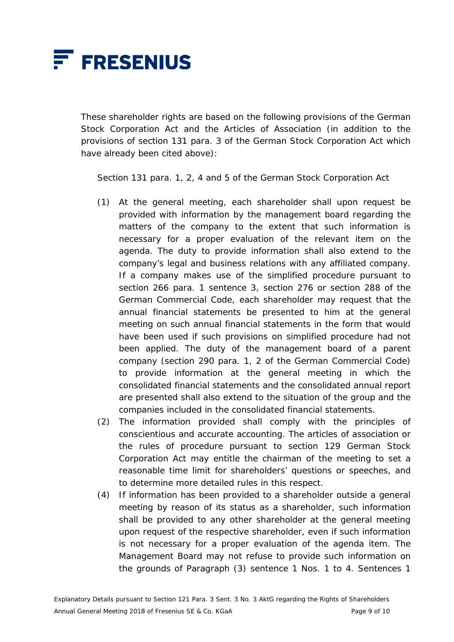

These shareholder rights are based on the following provisions of the German Stock Corporation Act and the Articles of Association (in addition to the provisions of section 131 para. 3 of the German Stock Corporation Act which have already been cited above):

Section 131 para. 1, 2, 4 and 5 of the German Stock Corporation Act

- (1) At the general meeting, each shareholder shall upon request be provided with information by the management board regarding the matters of the company to the extent that such information is necessary for a proper evaluation of the relevant item on the agenda. The duty to provide information shall also extend to the company's legal and business relations with any affiliated company. If a company makes use of the simplified procedure pursuant to section 266 para. 1 sentence 3, section 276 or section 288 of the German Commercial Code, each shareholder may request that the annual financial statements be presented to him at the general meeting on such annual financial statements in the form that would have been used if such provisions on simplified procedure had not been applied. The duty of the management board of a parent company (section 290 para. 1, 2 of the German Commercial Code) to provide information at the general meeting in which the consolidated financial statements and the consolidated annual report are presented shall also extend to the situation of the group and the companies included in the consolidated financial statements.
- (2) The information provided shall comply with the principles of conscientious and accurate accounting. The articles of association or the rules of procedure pursuant to section 129 German Stock Corporation Act may entitle the chairman of the meeting to set a reasonable time limit for shareholders' questions or speeches, and to determine more detailed rules in this respect.
- (4) If information has been provided to a shareholder outside a general meeting by reason of its status as a shareholder, such information shall be provided to any other shareholder at the general meeting upon request of the respective shareholder, even if such information is not necessary for a proper evaluation of the agenda item. The Management Board may not refuse to provide such information on the grounds of Paragraph (3) sentence 1 Nos. 1 to 4. Sentences 1